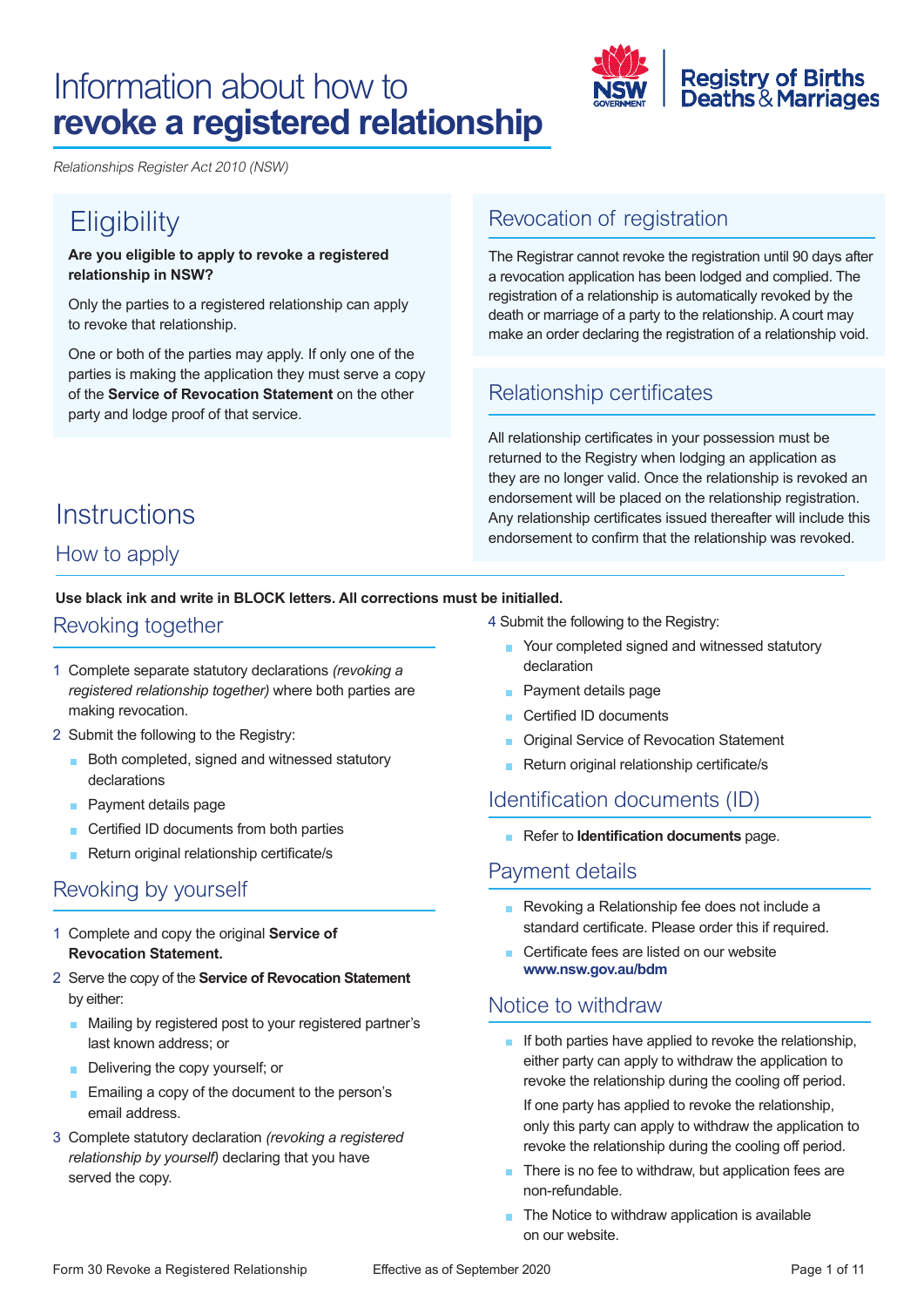# Information about how to **revoke a registered relationship**



Relationships Register Act 2010 (NSW)

# **Eligibility**

**Are you eligible to apply to revoke a registered relationship in NSW?** 

Only the parties to a registered relationship can apply to revoke that relationship.

One or both of the parties may apply. If only one of the parties is making the application they must serve a copy of the **Service of Revocation Statement** on the other party and lodge proof of that service.

#### Revocation of registration

The Registrar cannot revoke the registration until 90 days after a revocation application has been lodged and complied. The registration of a relationship is automatically revoked by the death or marriage of a party to the relationship. A court may make an order declaring the registration of a relationship void.

### Relationship certificates

All relationship certificates in your possession must be returned to the Registry when lodging an application as they are no longer valid. Once the relationship is revoked an endorsement will be placed on the relationship registration. Any relationship certificates issued thereafter will include this endorsement to confirm that the relationship was revoked.

# **Instructions**

### How to apply

**Use black ink and write in BLOCK letters. All corrections must be initialled.** 

#### Revoking together

- 1 Complete separate statutory declarations *(revoking a registered relationship together)* where both parties are making revocation.
- 2 Submit the following to the Registry:
	- **Both completed, signed and witnessed statutory** declarations
	- **Payment details page**
	- Certified ID documents from both parties
	- Return original relationship certificate/s

### Revoking by yourself

- 1 Complete and copy the original **Service of Revocation Statement.**
- 2 Serve the copy of the **Service of Revocation Statement**  by either:
	- **Mailing by registered post to your registered partner's** last known address; or
	- Delivering the copy yourself; or
	- Emailing a copy of the document to the person's email address.
- 3 Complete statutory declaration *(revoking a registered relationship by yourself)* declaring that you have served the copy.

4 Submit the following to the Registry:

- Your completed signed and witnessed statutory declaration
- Payment details page
- ľ Certified ID documents
- I. **Original Service of Revocation Statement**
- Return original relationship certificate/s

### Identifcation documents (ID)

Refer to **Identification documents** page.

#### Payment details

- **Revoking a Relationship fee does not include a** standard certificate. Please order this if required.
- **Certificate fees are listed on our website <www.nsw.gov.au/bdm>**

#### Notice to withdraw

If both parties have applied to revoke the relationship, either party can apply to withdraw the application to revoke the relationship during the cooling off period.

If one party has applied to revoke the relationship, only this party can apply to withdraw the application to revoke the relationship during the cooling off period.

- There is no fee to withdraw, but application fees are non-refundable.
- ľ The Notice to withdraw application is available on our website.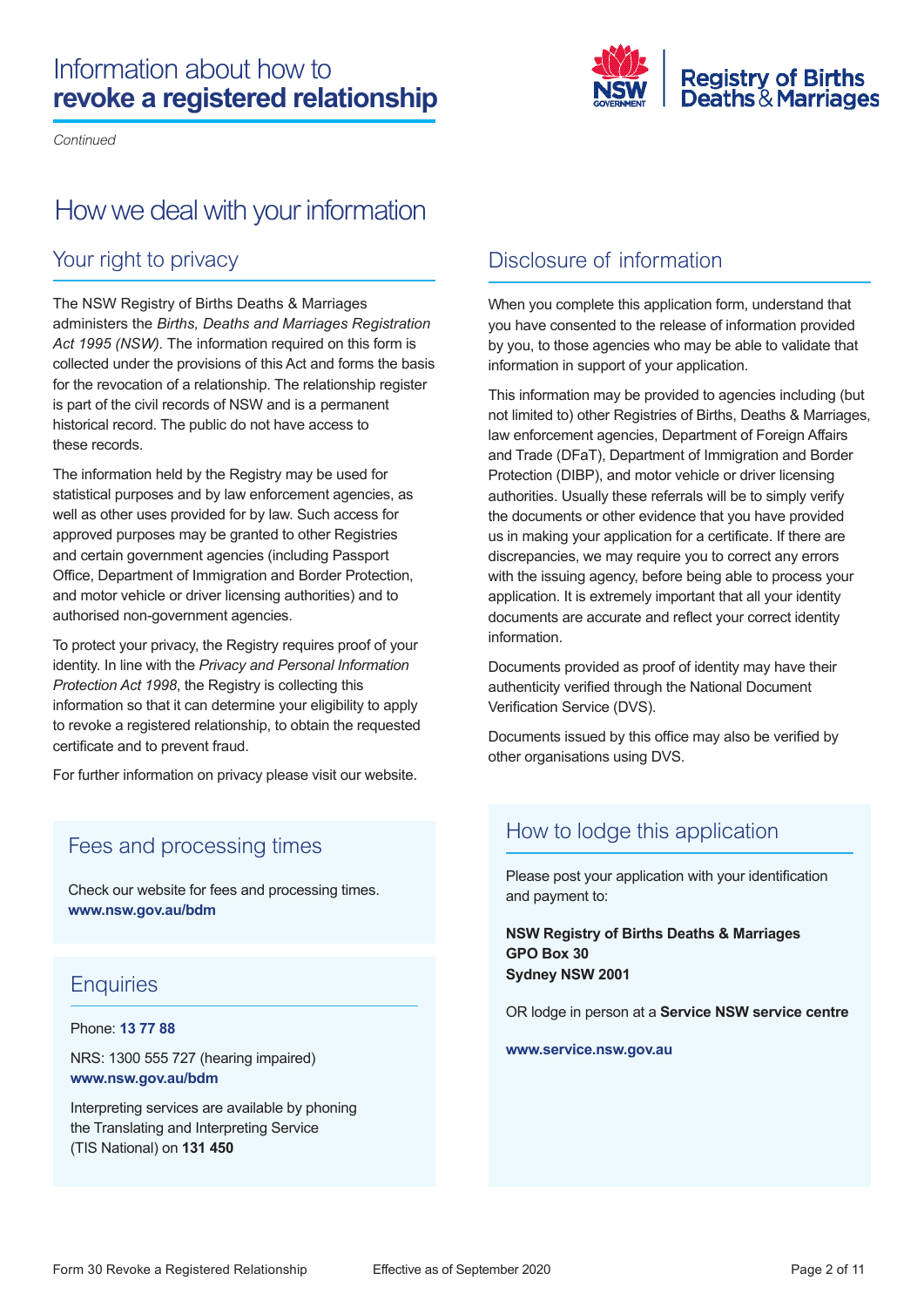## Information about how to **revoke a registered relationship**

Continued



## How we deal with your information

### Your right to privacy

 *Act 1995 (NSW).* The information required on this form is The NSW Registry of Births Deaths & Marriages administers the *Births, Deaths and Marriages Registration*  collected under the provisions of this Act and forms the basis for the revocation of a relationship. The relationship register is part of the civil records of NSW and is a permanent historical record. The public do not have access to these records.

The information held by the Registry may be used for statistical purposes and by law enforcement agencies, as well as other uses provided for by law. Such access for approved purposes may be granted to other Registries and certain government agencies (including Passport Office, Department of Immigration and Border Protection, and motor vehicle or driver licensing authorities) and to authorised non-government agencies.

To protect your privacy, the Registry requires proof of your identity. In line with the *Privacy and Personal Information Protection Act 1998*, the Registry is collecting this information so that it can determine your eligibility to apply to revoke a registered relationship, to obtain the requested certificate and to prevent fraud.

For further information on privacy please visit our website.

#### Fees and processing times

Check our website for fees and processing times. **<www.nsw.gov.au/bdm>** 

### **Enquiries**

#### Phone: **13 77 88**

NRS: 1300 555 727 (hearing impaired) **<www.nsw.gov.au/bdm>**

Interpreting services are available by phoning the Translating and Interpreting Service (TIS National) on **131 450** 

### Disclosure of information

When you complete this application form, understand that you have consented to the release of information provided by you, to those agencies who may be able to validate that information in support of your application.

This information may be provided to agencies including (but not limited to) other Registries of Births, Deaths & Marriages, law enforcement agencies, Department of Foreign Affairs and Trade (DFaT), Department of Immigration and Border Protection (DIBP), and motor vehicle or driver licensing authorities. Usually these referrals will be to simply verify the documents or other evidence that you have provided us in making your application for a certificate. If there are discrepancies, we may require you to correct any errors with the issuing agency, before being able to process your application. It is extremely important that all your identity documents are accurate and reflect your correct identity information.

Documents provided as proof of identity may have their authenticity verified through the National Document Verification Service (DVS).

Documents issued by this office may also be verified by other organisations using DVS.

#### How to lodge this application

Please post your application with your identification and payment to:

**NSW Registry of Births Deaths & Marriages GPO Box 30 Sydney NSW 2001** 

OR lodge in person at a **Service NSW service centre** 

**<www.service.nsw.gov.au>**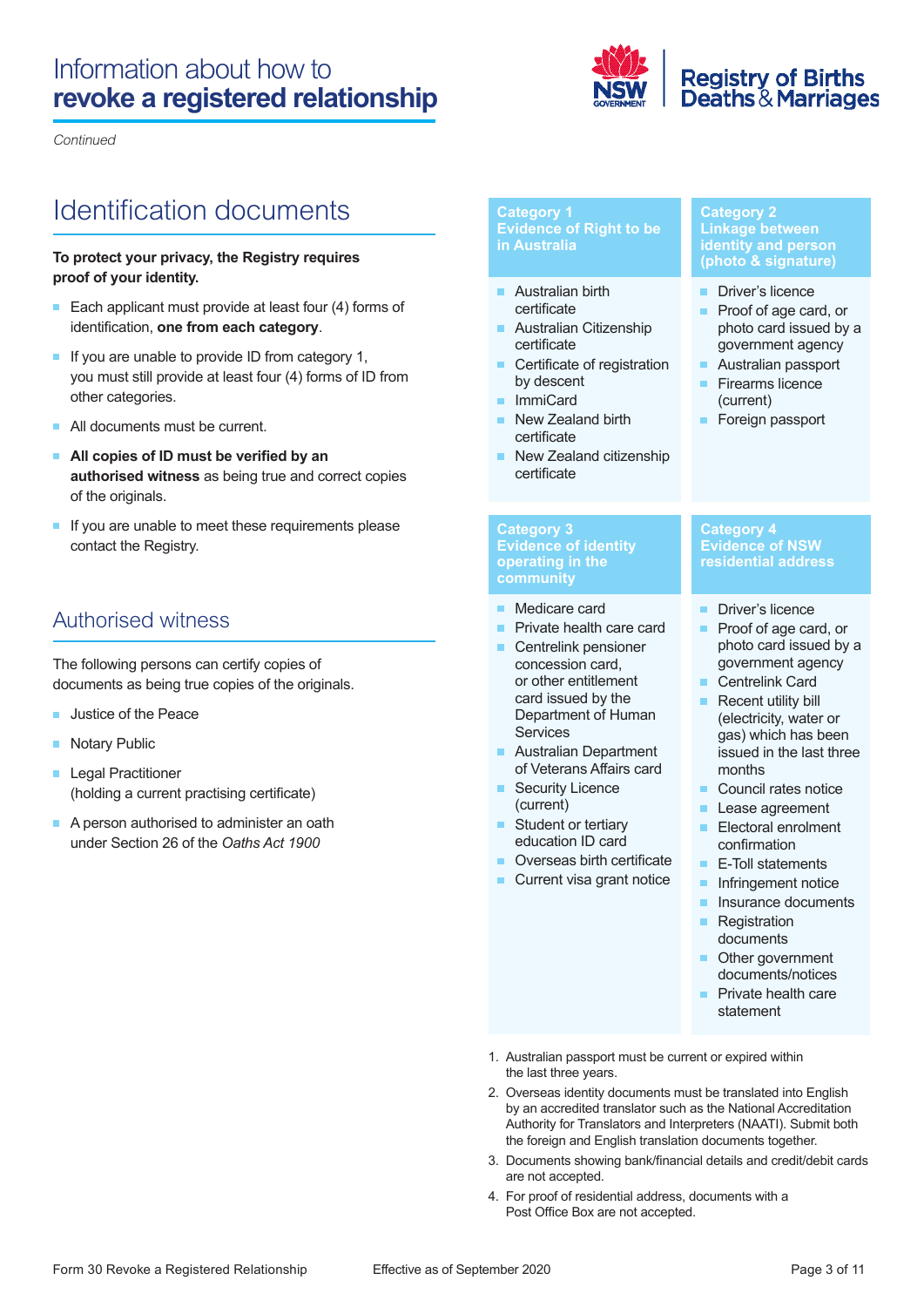## Information about how to **revoke a registered relationship**



Continued

# Identifcation documents

#### **To protect your privacy, the Registry requires proof of your identity.**

- Each applicant must provide at least four (4) forms of identification, **one from each category**.
- If you are unable to provide ID from category 1, you must still provide at least four (4) forms of ID from other categories.
- All documents must be current.
- **All copies of ID must be verified by an authorised witness** as being true and correct copies of the originals.
- If you are unable to meet these requirements please contact the Registry.

### Authorised witness

The following persons can certify copies of documents as being true copies of the originals.

- Justice of the Peace m.
- **Notary Public**
- Legal Practitioner (holding a current practising certificate)
- A person authorised to administer an oath under Section 26 of the *Oaths Act 1900*

#### **Category 1 Evidence of Right to be in Australia**

- Australian birth certificate
- ľ Australian Citizenship certificate
- ľ Certificate of registration by descent
- ľ ImmiCard
- ľ New Zealand birth certificate
- **New Zealand citizenship** certificate

#### **Category 2 Linkage between identity and person (photo & signature)**

- Driver's licence
- **Proof of age card, or**  photo card issued by a government agency
- Australian passport
- ľ Firearms licence (current)
- **Foreign passport**

**Category 4 Evidence of NSW residential address** 

m.

#### **Category 3 Evidence of identity operating in the community**

- Medicare card
- ľ Private health care card
- Centrelink pensioner Services concession card, or other entitlement card issued by the Department of Human
- m. Australian Department of Veterans Affairs card
- ľ Security Licence (current)
- **Student or tertiary** education ID card
- **Overseas birth certificate**
- ľ Current visa grant notice
- **I** Infringement notice **I** Insurance documents

**E-Toll statements** 

confirmation

photo card issued by a

Proof of age card, or

government agency

(electricity, water or gas) which has been

issued in the last three

**Council rates notice**  Lease agreement **Electoral enrolment** 

 Centrelink Card Recent utility bill

months

Driver's licence

- **Registration** documents
- **Other government** documents/notices
- ľ Private health care statement
- 1. Australian passport must be current or expired within the last three years.
- 2. Overseas identity documents must be translated into English by an accredited translator such as the National Accreditation Authority for Translators and Interpreters (NAATI). Submit both the foreign and English translation documents together.
- 3. Documents showing bank/financial details and credit/debit cards are not accepted.
- 4. For proof of residential address, documents with a Post Office Box are not accepted.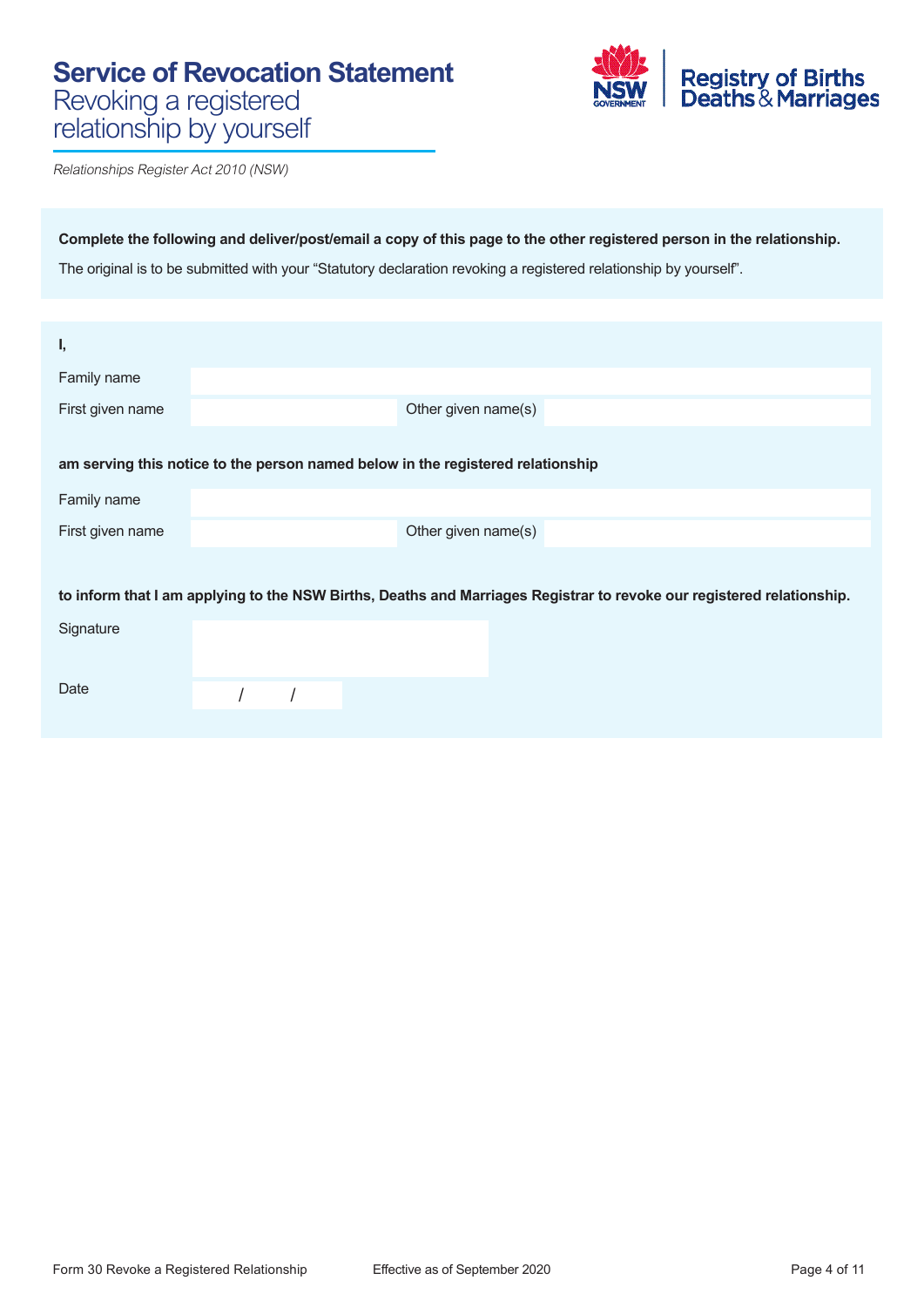## **Service of Revocation Statement**  Revoking a registered relationship by yourself



Relationships Register Act 2010 (NSW)

**Complete the following and deliver/post/email a copy of this page to the other registered person in the relationship.**  The original is to be submitted with your "Statutory declaration revoking a registered relationship by yourself".

| I,                                                                                                                    |  |                     |  |  |
|-----------------------------------------------------------------------------------------------------------------------|--|---------------------|--|--|
| Family name                                                                                                           |  |                     |  |  |
| First given name                                                                                                      |  | Other given name(s) |  |  |
|                                                                                                                       |  |                     |  |  |
| am serving this notice to the person named below in the registered relationship                                       |  |                     |  |  |
| Family name                                                                                                           |  |                     |  |  |
| First given name                                                                                                      |  | Other given name(s) |  |  |
|                                                                                                                       |  |                     |  |  |
| to inform that I am applying to the NSW Births, Deaths and Marriages Registrar to revoke our registered relationship. |  |                     |  |  |
| Signature                                                                                                             |  |                     |  |  |
|                                                                                                                       |  |                     |  |  |
| Date                                                                                                                  |  |                     |  |  |
|                                                                                                                       |  |                     |  |  |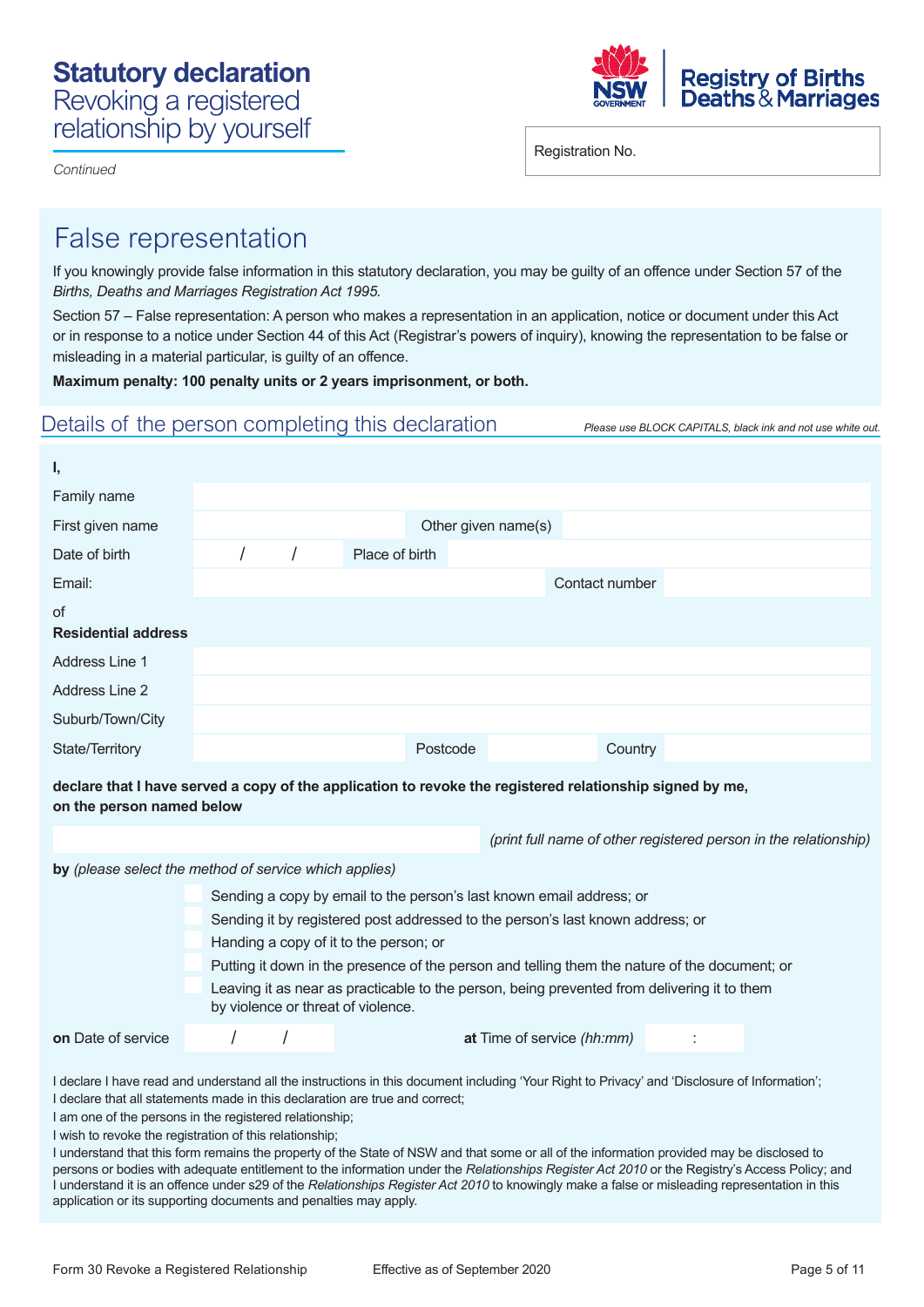



Registration No.

## False representation

If you knowingly provide false information in this statutory declaration, you may be guilty of an offence under Section 57 of the *Births, Deaths and Marriages Registration Act 1995.* 

Section 57 – False representation: A person who makes a representation in an application, notice or document under this Act or in response to a notice under Section 44 of this Act (Registrar's powers of inquiry), knowing the representation to be false or misleading in a material particular, is guilty of an offence.

**Maximum penalty: 100 penalty units or 2 years imprisonment, or both.** 

### Details of the person completing this declaration *Please use BLOCK CAPITALS, black ink and not use white out.*

| ι,                                      |  |                |          |                                                                                                          |                                                                  |
|-----------------------------------------|--|----------------|----------|----------------------------------------------------------------------------------------------------------|------------------------------------------------------------------|
| Family name                             |  |                |          |                                                                                                          |                                                                  |
| First given name                        |  |                |          | Other given name(s)                                                                                      |                                                                  |
| Date of birth                           |  | Place of birth |          |                                                                                                          |                                                                  |
| Email:                                  |  |                |          | Contact number                                                                                           |                                                                  |
| <b>of</b><br><b>Residential address</b> |  |                |          |                                                                                                          |                                                                  |
| <b>Address Line 1</b>                   |  |                |          |                                                                                                          |                                                                  |
| <b>Address Line 2</b>                   |  |                |          |                                                                                                          |                                                                  |
| Suburb/Town/City                        |  |                |          |                                                                                                          |                                                                  |
| State/Territory                         |  |                | Postcode | Country                                                                                                  |                                                                  |
| on the person named below               |  |                |          | declare that I have served a copy of the application to revoke the registered relationship signed by me, |                                                                  |
|                                         |  |                |          |                                                                                                          | (print full name of other registered person in the relationship) |

**by** *(please select the method of service which applies)* 

|                                                                                                                                   | Sending a copy by email to the person's last known email address; or           |  |  |  |                            |  |                                                                                               |  |  |  |
|-----------------------------------------------------------------------------------------------------------------------------------|--------------------------------------------------------------------------------|--|--|--|----------------------------|--|-----------------------------------------------------------------------------------------------|--|--|--|
|                                                                                                                                   | Sending it by registered post addressed to the person's last known address; or |  |  |  |                            |  |                                                                                               |  |  |  |
|                                                                                                                                   | Handing a copy of it to the person; or                                         |  |  |  |                            |  |                                                                                               |  |  |  |
|                                                                                                                                   |                                                                                |  |  |  |                            |  | Putting it down in the presence of the person and telling them the nature of the document; or |  |  |  |
| Leaving it as near as practicable to the person, being prevented from delivering it to them<br>by violence or threat of violence. |                                                                                |  |  |  |                            |  |                                                                                               |  |  |  |
| on Date of service                                                                                                                |                                                                                |  |  |  | at Time of service (hh:mm) |  |                                                                                               |  |  |  |

I declare I have read and understand all the instructions in this document including 'Your Right to Privacy' and 'Disclosure of Information'; I declare that all statements made in this declaration are true and correct;

I am one of the persons in the registered relationship;

I wish to revoke the registration of this relationship;

I understand that this form remains the property of the State of NSW and that some or all of the information provided may be disclosed to persons or bodies with adequate entitlement to the information under the *Relationships Register Act 2010* or the Registry's Access Policy; and I understand it is an offence under s29 of the *Relationships Register Act 2010* to knowingly make a false or misleading representation in this application or its supporting documents and penalties may apply.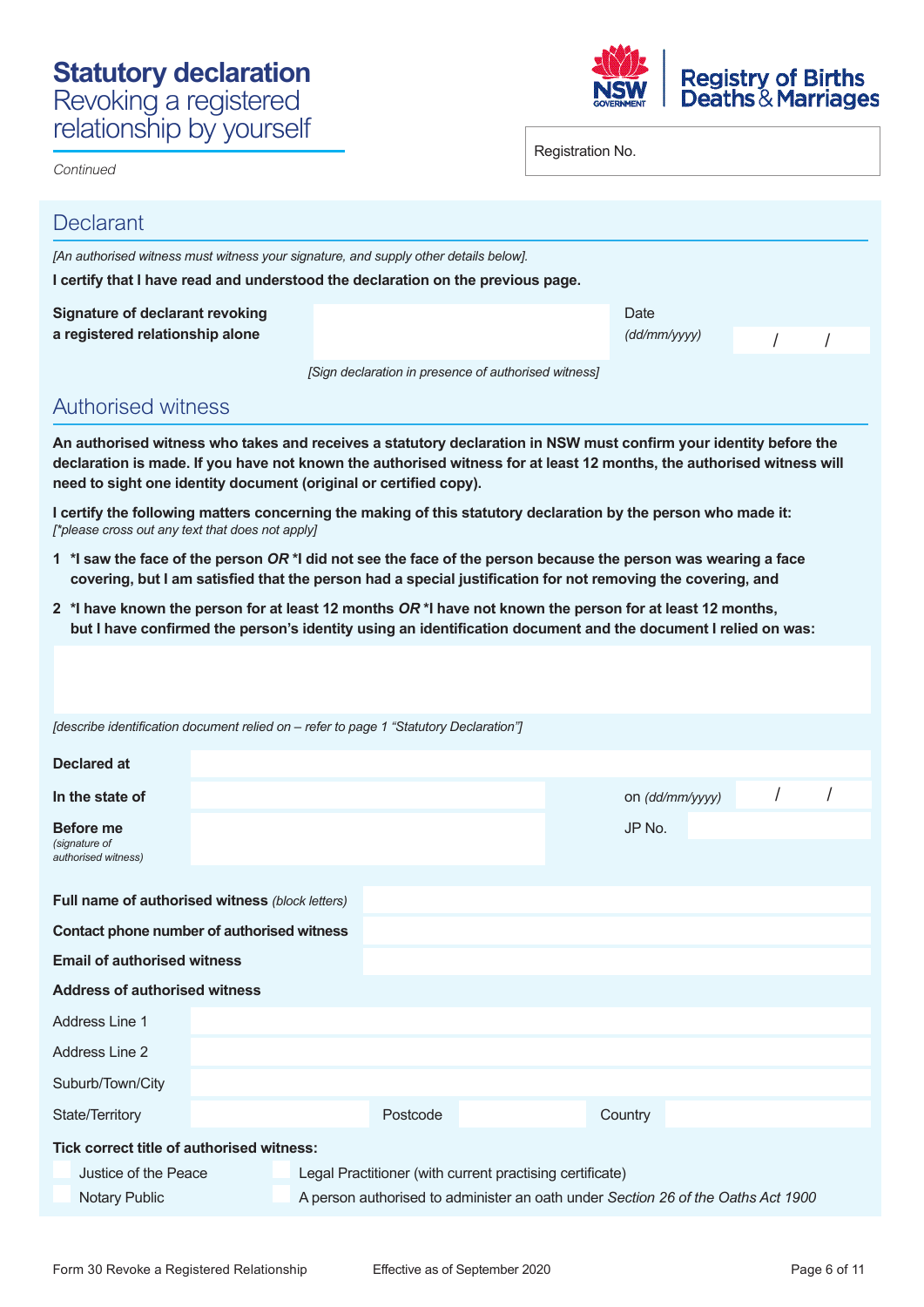## **Statutory declaration** Revoking a registered relationship by yourself



Registration No.

| <b>Declarant</b>                                                          |                                                                                 |                                                                                                                                                                                                                                                                                                                 |                      |                 |  |  |  |  |  |
|---------------------------------------------------------------------------|---------------------------------------------------------------------------------|-----------------------------------------------------------------------------------------------------------------------------------------------------------------------------------------------------------------------------------------------------------------------------------------------------------------|----------------------|-----------------|--|--|--|--|--|
|                                                                           |                                                                                 | [An authorised witness must witness your signature, and supply other details below].                                                                                                                                                                                                                            |                      |                 |  |  |  |  |  |
|                                                                           | I certify that I have read and understood the declaration on the previous page. |                                                                                                                                                                                                                                                                                                                 |                      |                 |  |  |  |  |  |
| <b>Signature of declarant revoking</b><br>a registered relationship alone |                                                                                 |                                                                                                                                                                                                                                                                                                                 | Date<br>(dd/mm/yyyy) |                 |  |  |  |  |  |
|                                                                           |                                                                                 | [Sign declaration in presence of authorised witness]                                                                                                                                                                                                                                                            |                      |                 |  |  |  |  |  |
| <b>Authorised witness</b>                                                 |                                                                                 |                                                                                                                                                                                                                                                                                                                 |                      |                 |  |  |  |  |  |
|                                                                           |                                                                                 | An authorised witness who takes and receives a statutory declaration in NSW must confirm your identity before the<br>declaration is made. If you have not known the authorised witness for at least 12 months, the authorised witness will<br>need to sight one identity document (original or certified copy). |                      |                 |  |  |  |  |  |
| [*please cross out any text that does not apply]                          |                                                                                 | I certify the following matters concerning the making of this statutory declaration by the person who made it:                                                                                                                                                                                                  |                      |                 |  |  |  |  |  |
|                                                                           |                                                                                 | 1 *I saw the face of the person OR *I did not see the face of the person because the person was wearing a face<br>covering, but I am satisfied that the person had a special justification for not removing the covering, and                                                                                   |                      |                 |  |  |  |  |  |
|                                                                           |                                                                                 | 2 *I have known the person for at least 12 months OR *I have not known the person for at least 12 months,<br>but I have confirmed the person's identity using an identification document and the document I relied on was:                                                                                      |                      |                 |  |  |  |  |  |
|                                                                           |                                                                                 |                                                                                                                                                                                                                                                                                                                 |                      |                 |  |  |  |  |  |
|                                                                           |                                                                                 |                                                                                                                                                                                                                                                                                                                 |                      |                 |  |  |  |  |  |
|                                                                           |                                                                                 | [describe identification document relied on – refer to page 1 "Statutory Declaration"]                                                                                                                                                                                                                          |                      |                 |  |  |  |  |  |
| Declared at                                                               |                                                                                 |                                                                                                                                                                                                                                                                                                                 |                      |                 |  |  |  |  |  |
| In the state of                                                           |                                                                                 |                                                                                                                                                                                                                                                                                                                 |                      | on (dd/mm/yyyy) |  |  |  |  |  |
| <b>Before me</b>                                                          |                                                                                 |                                                                                                                                                                                                                                                                                                                 |                      | JP No.          |  |  |  |  |  |
| (signature of<br>authorised witness)                                      |                                                                                 |                                                                                                                                                                                                                                                                                                                 |                      |                 |  |  |  |  |  |
|                                                                           |                                                                                 |                                                                                                                                                                                                                                                                                                                 |                      |                 |  |  |  |  |  |
| Full name of authorised witness (block letters)                           |                                                                                 |                                                                                                                                                                                                                                                                                                                 |                      |                 |  |  |  |  |  |
| Contact phone number of authorised witness                                |                                                                                 |                                                                                                                                                                                                                                                                                                                 |                      |                 |  |  |  |  |  |
| <b>Email of authorised witness</b>                                        |                                                                                 |                                                                                                                                                                                                                                                                                                                 |                      |                 |  |  |  |  |  |
| <b>Address of authorised witness</b>                                      |                                                                                 |                                                                                                                                                                                                                                                                                                                 |                      |                 |  |  |  |  |  |
| Address Line 1                                                            |                                                                                 |                                                                                                                                                                                                                                                                                                                 |                      |                 |  |  |  |  |  |
| Address Line 2                                                            |                                                                                 |                                                                                                                                                                                                                                                                                                                 |                      |                 |  |  |  |  |  |
| Suburb/Town/City                                                          |                                                                                 |                                                                                                                                                                                                                                                                                                                 |                      |                 |  |  |  |  |  |
| State/Territory                                                           |                                                                                 | Postcode                                                                                                                                                                                                                                                                                                        |                      | Country         |  |  |  |  |  |
| Tick correct title of authorised witness:                                 |                                                                                 |                                                                                                                                                                                                                                                                                                                 |                      |                 |  |  |  |  |  |
| Justice of the Peace                                                      |                                                                                 | Legal Practitioner (with current practising certificate)                                                                                                                                                                                                                                                        |                      |                 |  |  |  |  |  |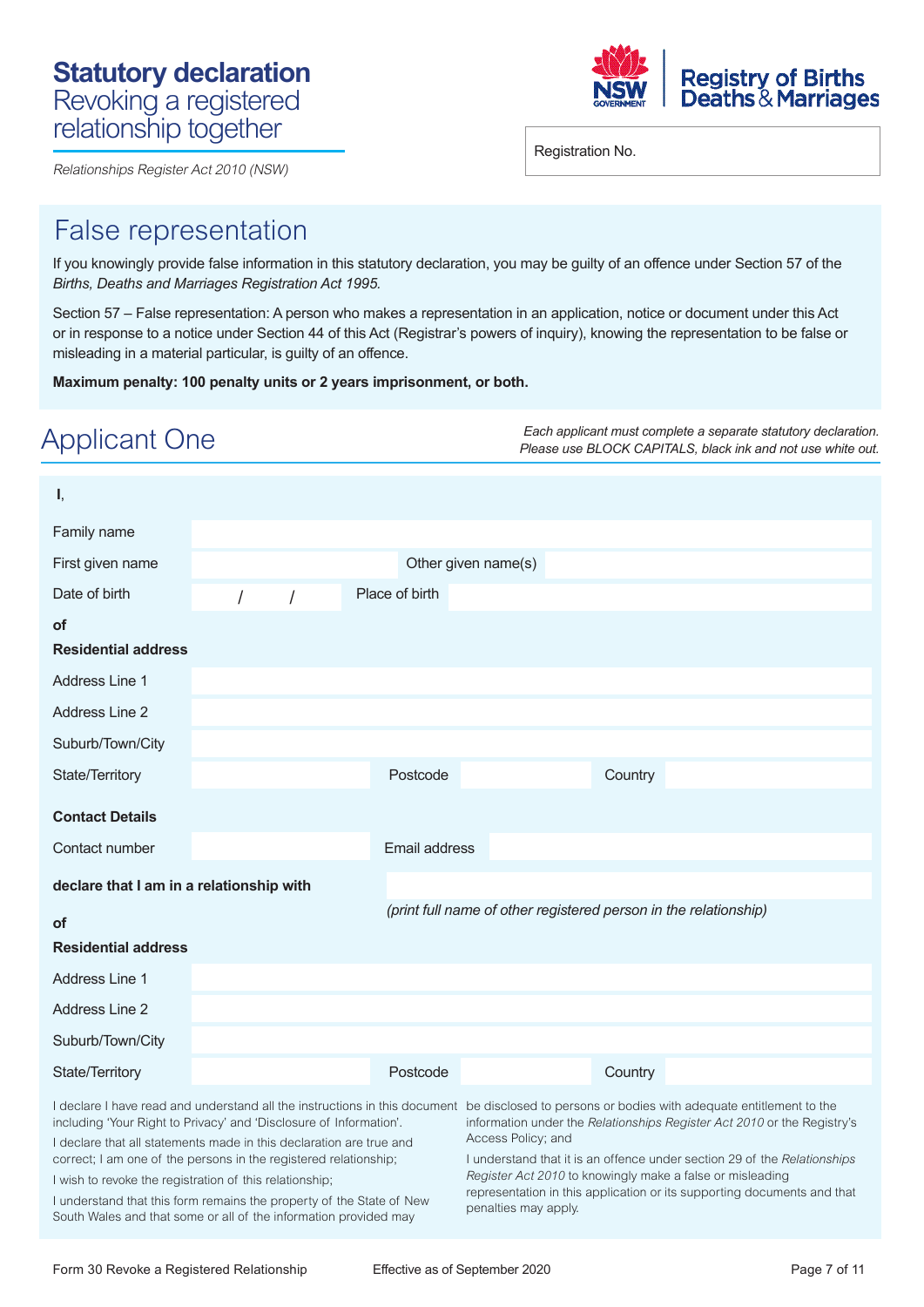



Registration No.

## False representation

If you knowingly provide false information in this statutory declaration, you may be guilty of an offence under Section 57 of the *Births, Deaths and Marriages Registration Act 1995.* 

Section 57 – False representation: A person who makes a representation in an application, notice or document under this Act or in response to a notice under Section 44 of this Act (Registrar's powers of inquiry), knowing the representation to be false or misleading in a material particular, is guilty of an offence.

**Maximum penalty: 100 penalty units or 2 years imprisonment, or both.** 

| Applicant One                                                                                                                                                                                                                                                                                                                                                                                                                                                                                                                     | Each applicant must complete a separate statutory declaration.<br>Please use BLOCK CAPITALS, black ink and not use white out.                                                                                                                                                                                                                                                                                              |
|-----------------------------------------------------------------------------------------------------------------------------------------------------------------------------------------------------------------------------------------------------------------------------------------------------------------------------------------------------------------------------------------------------------------------------------------------------------------------------------------------------------------------------------|----------------------------------------------------------------------------------------------------------------------------------------------------------------------------------------------------------------------------------------------------------------------------------------------------------------------------------------------------------------------------------------------------------------------------|
| I,<br>Family name<br>First given name<br>Place of birth<br>Date of birth<br>$\sqrt{ }$<br>$\prime$<br>οf<br><b>Residential address</b>                                                                                                                                                                                                                                                                                                                                                                                            | Other given name(s)                                                                                                                                                                                                                                                                                                                                                                                                        |
| <b>Address Line 1</b><br><b>Address Line 2</b><br>Suburb/Town/City                                                                                                                                                                                                                                                                                                                                                                                                                                                                |                                                                                                                                                                                                                                                                                                                                                                                                                            |
| State/Territory<br>Postcode<br><b>Contact Details</b><br>Contact number<br>Email address                                                                                                                                                                                                                                                                                                                                                                                                                                          | Country                                                                                                                                                                                                                                                                                                                                                                                                                    |
| declare that I am in a relationship with<br><b>of</b><br><b>Residential address</b>                                                                                                                                                                                                                                                                                                                                                                                                                                               | (print full name of other registered person in the relationship)                                                                                                                                                                                                                                                                                                                                                           |
| <b>Address Line 1</b><br><b>Address Line 2</b><br>Suburb/Town/City                                                                                                                                                                                                                                                                                                                                                                                                                                                                |                                                                                                                                                                                                                                                                                                                                                                                                                            |
| State/Territory<br>Postcode<br>I declare I have read and understand all the instructions in this document<br>including 'Your Right to Privacy' and 'Disclosure of Information'.<br>I declare that all statements made in this declaration are true and<br>correct; I am one of the persons in the registered relationship;<br>I wish to revoke the registration of this relationship;<br>I understand that this form remains the property of the State of New<br>South Wales and that some or all of the information provided may | Country<br>be disclosed to persons or bodies with adequate entitlement to the<br>information under the Relationships Register Act 2010 or the Registry's<br>Access Policy; and<br>I understand that it is an offence under section 29 of the Relationships<br>Register Act 2010 to knowingly make a false or misleading<br>representation in this application or its supporting documents and that<br>penalties may apply. |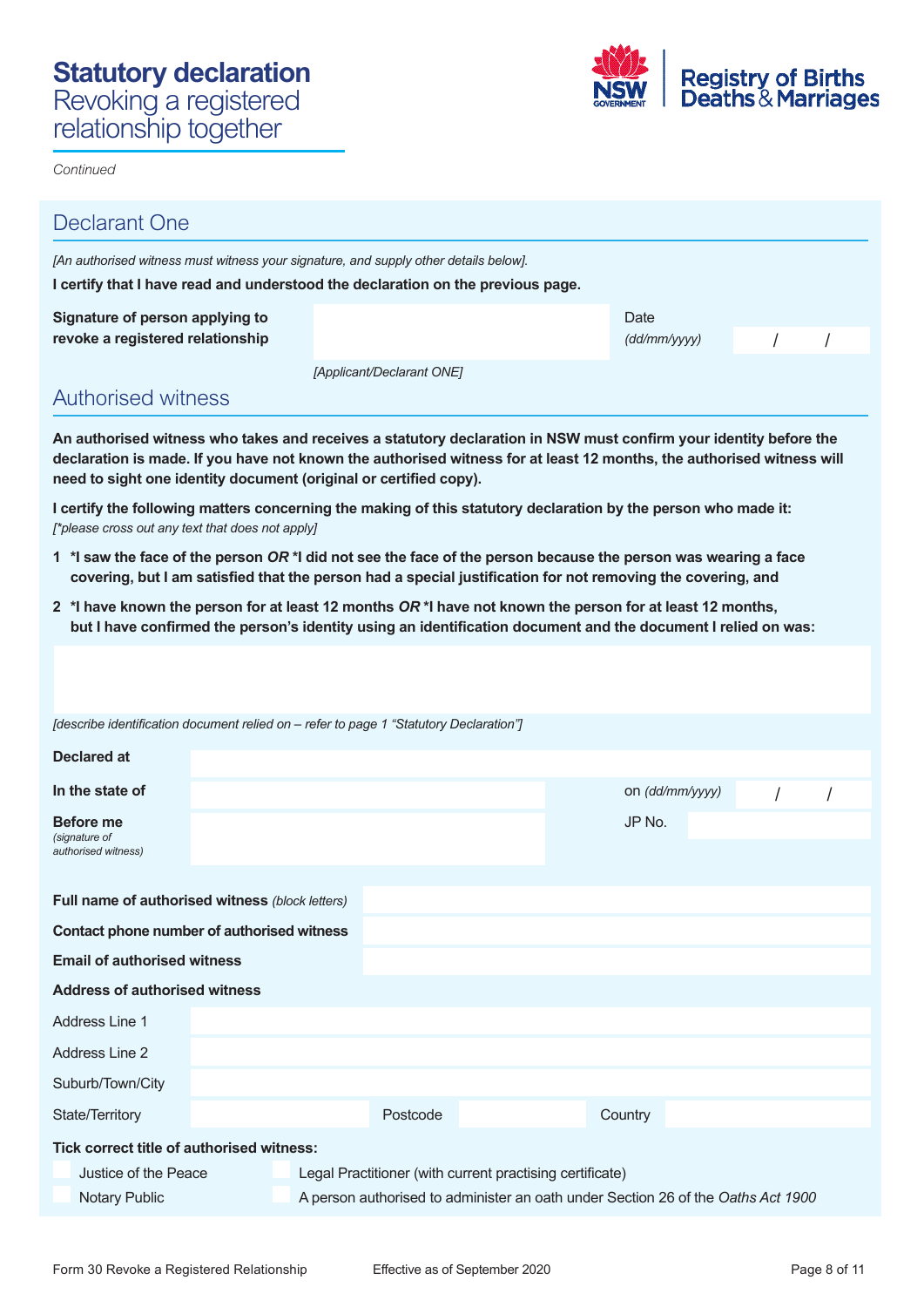

*Continued* 

| <b>Declarant One</b>                                                                                                                                                                                                                                                                                            |                                                                                 |                                                                                                                                              |  |  |                 |  |  |  |  |
|-----------------------------------------------------------------------------------------------------------------------------------------------------------------------------------------------------------------------------------------------------------------------------------------------------------------|---------------------------------------------------------------------------------|----------------------------------------------------------------------------------------------------------------------------------------------|--|--|-----------------|--|--|--|--|
| [An authorised witness must witness your signature, and supply other details below].                                                                                                                                                                                                                            |                                                                                 |                                                                                                                                              |  |  |                 |  |  |  |  |
|                                                                                                                                                                                                                                                                                                                 | I certify that I have read and understood the declaration on the previous page. |                                                                                                                                              |  |  |                 |  |  |  |  |
| Signature of person applying to<br>revoke a registered relationship                                                                                                                                                                                                                                             | Date<br>(dd/mm/yyy)                                                             |                                                                                                                                              |  |  |                 |  |  |  |  |
|                                                                                                                                                                                                                                                                                                                 |                                                                                 | [Applicant/Declarant ONE]                                                                                                                    |  |  |                 |  |  |  |  |
| <b>Authorised witness</b>                                                                                                                                                                                                                                                                                       |                                                                                 |                                                                                                                                              |  |  |                 |  |  |  |  |
| An authorised witness who takes and receives a statutory declaration in NSW must confirm your identity before the<br>declaration is made. If you have not known the authorised witness for at least 12 months, the authorised witness will<br>need to sight one identity document (original or certified copy). |                                                                                 |                                                                                                                                              |  |  |                 |  |  |  |  |
| I certify the following matters concerning the making of this statutory declaration by the person who made it:<br>[*please cross out any text that does not apply]                                                                                                                                              |                                                                                 |                                                                                                                                              |  |  |                 |  |  |  |  |
| 1 *I saw the face of the person OR *I did not see the face of the person because the person was wearing a face                                                                                                                                                                                                  |                                                                                 | covering, but I am satisfied that the person had a special justification for not removing the covering, and                                  |  |  |                 |  |  |  |  |
| 2 *I have known the person for at least 12 months OR *I have not known the person for at least 12 months,                                                                                                                                                                                                       |                                                                                 | but I have confirmed the person's identity using an identification document and the document I relied on was:                                |  |  |                 |  |  |  |  |
| [describe identification document relied on – refer to page 1 "Statutory Declaration"]                                                                                                                                                                                                                          |                                                                                 |                                                                                                                                              |  |  |                 |  |  |  |  |
|                                                                                                                                                                                                                                                                                                                 |                                                                                 |                                                                                                                                              |  |  |                 |  |  |  |  |
| Declared at                                                                                                                                                                                                                                                                                                     |                                                                                 |                                                                                                                                              |  |  |                 |  |  |  |  |
| In the state of                                                                                                                                                                                                                                                                                                 |                                                                                 |                                                                                                                                              |  |  | on (dd/mm/yyyy) |  |  |  |  |
| Before me<br>(signature of<br>authorised witness)                                                                                                                                                                                                                                                               |                                                                                 |                                                                                                                                              |  |  | JP No.          |  |  |  |  |
| Full name of authorised witness (block letters)                                                                                                                                                                                                                                                                 |                                                                                 |                                                                                                                                              |  |  |                 |  |  |  |  |
| Contact phone number of authorised witness                                                                                                                                                                                                                                                                      |                                                                                 |                                                                                                                                              |  |  |                 |  |  |  |  |
| <b>Email of authorised witness</b>                                                                                                                                                                                                                                                                              |                                                                                 |                                                                                                                                              |  |  |                 |  |  |  |  |
| <b>Address of authorised witness</b>                                                                                                                                                                                                                                                                            |                                                                                 |                                                                                                                                              |  |  |                 |  |  |  |  |
| Address Line 1                                                                                                                                                                                                                                                                                                  |                                                                                 |                                                                                                                                              |  |  |                 |  |  |  |  |
| Address Line 2                                                                                                                                                                                                                                                                                                  |                                                                                 |                                                                                                                                              |  |  |                 |  |  |  |  |
| Suburb/Town/City                                                                                                                                                                                                                                                                                                |                                                                                 |                                                                                                                                              |  |  |                 |  |  |  |  |
| State/Territory                                                                                                                                                                                                                                                                                                 |                                                                                 | Postcode                                                                                                                                     |  |  | Country         |  |  |  |  |
| Tick correct title of authorised witness:                                                                                                                                                                                                                                                                       |                                                                                 |                                                                                                                                              |  |  |                 |  |  |  |  |
| Justice of the Peace<br><b>Notary Public</b>                                                                                                                                                                                                                                                                    |                                                                                 | Legal Practitioner (with current practising certificate)<br>A person authorised to administer an oath under Section 26 of the Oaths Act 1900 |  |  |                 |  |  |  |  |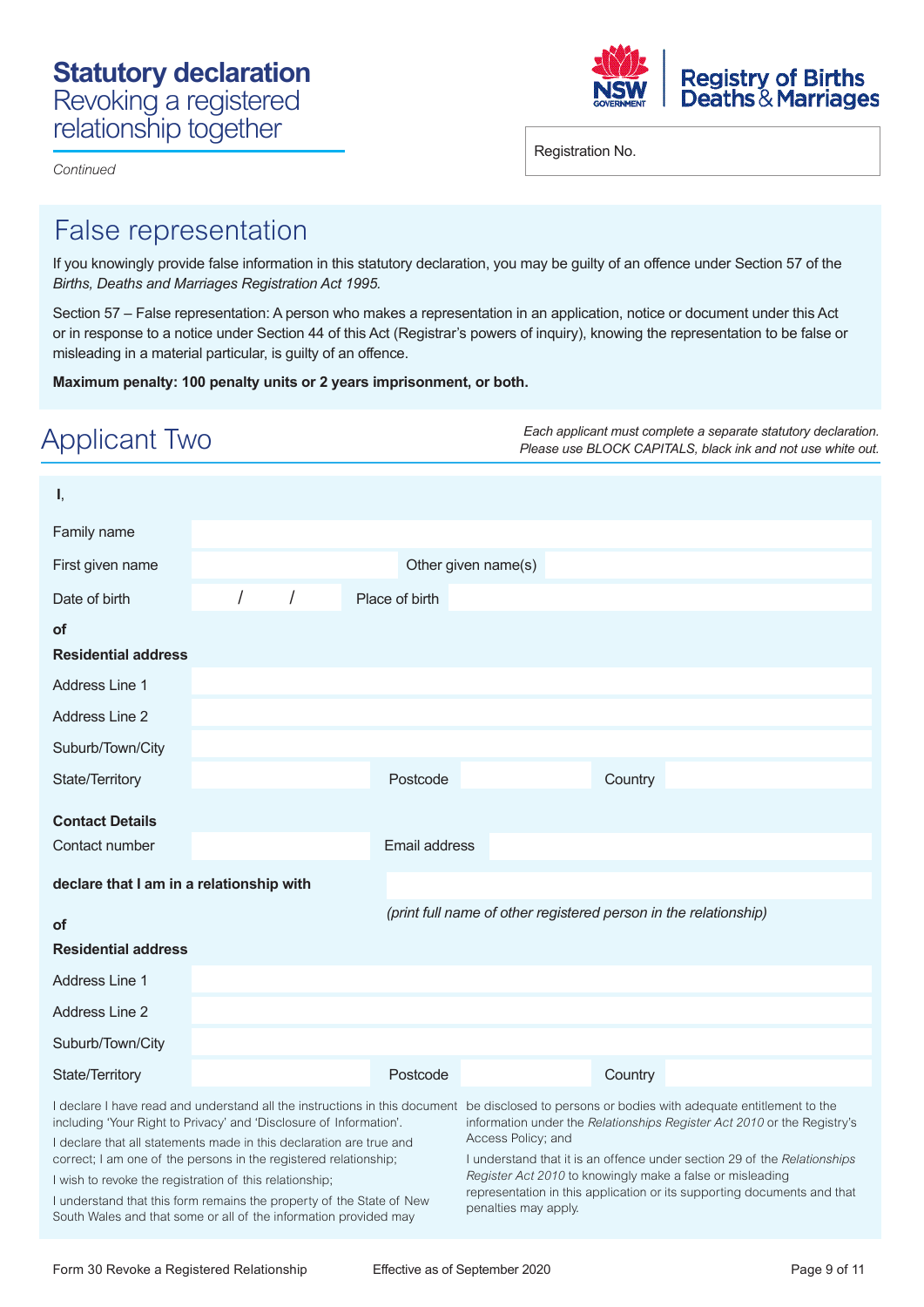

*Continued* 

Registration No.

# False representation

If you knowingly provide false information in this statutory declaration, you may be guilty of an offence under Section 57 of the *Births, Deaths and Marriages Registration Act 1995.* 

Section 57 – False representation: A person who makes a representation in an application, notice or document under this Act or in response to a notice under Section 44 of this Act (Registrar's powers of inquiry), knowing the representation to be false or misleading in a material particular, is guilty of an offence.

**Maximum penalty: 100 penalty units or 2 years imprisonment, or both.** 

| Applicant Two                                                                                                                                                                                                                                                                                                                                                                                                        |   |                |                                            | Each applicant must complete a separate statutory declaration.<br>Please use BLOCK CAPITALS, black ink and not use white out.                                                                                                                                                                                                                                                                                                                |  |
|----------------------------------------------------------------------------------------------------------------------------------------------------------------------------------------------------------------------------------------------------------------------------------------------------------------------------------------------------------------------------------------------------------------------|---|----------------|--------------------------------------------|----------------------------------------------------------------------------------------------------------------------------------------------------------------------------------------------------------------------------------------------------------------------------------------------------------------------------------------------------------------------------------------------------------------------------------------------|--|
| I,<br>Family name                                                                                                                                                                                                                                                                                                                                                                                                    |   |                |                                            |                                                                                                                                                                                                                                                                                                                                                                                                                                              |  |
| First given name                                                                                                                                                                                                                                                                                                                                                                                                     |   |                | Other given name(s)                        |                                                                                                                                                                                                                                                                                                                                                                                                                                              |  |
| Date of birth                                                                                                                                                                                                                                                                                                                                                                                                        | I | Place of birth |                                            |                                                                                                                                                                                                                                                                                                                                                                                                                                              |  |
| <b>of</b><br><b>Residential address</b>                                                                                                                                                                                                                                                                                                                                                                              |   |                |                                            |                                                                                                                                                                                                                                                                                                                                                                                                                                              |  |
| Address Line 1                                                                                                                                                                                                                                                                                                                                                                                                       |   |                |                                            |                                                                                                                                                                                                                                                                                                                                                                                                                                              |  |
| <b>Address Line 2</b>                                                                                                                                                                                                                                                                                                                                                                                                |   |                |                                            |                                                                                                                                                                                                                                                                                                                                                                                                                                              |  |
| Suburb/Town/City                                                                                                                                                                                                                                                                                                                                                                                                     |   |                |                                            |                                                                                                                                                                                                                                                                                                                                                                                                                                              |  |
| State/Territory                                                                                                                                                                                                                                                                                                                                                                                                      |   | Postcode       |                                            | Country                                                                                                                                                                                                                                                                                                                                                                                                                                      |  |
| <b>Contact Details</b><br>Contact number                                                                                                                                                                                                                                                                                                                                                                             |   | Email address  |                                            |                                                                                                                                                                                                                                                                                                                                                                                                                                              |  |
| declare that I am in a relationship with                                                                                                                                                                                                                                                                                                                                                                             |   |                |                                            |                                                                                                                                                                                                                                                                                                                                                                                                                                              |  |
| <b>of</b>                                                                                                                                                                                                                                                                                                                                                                                                            |   |                |                                            | (print full name of other registered person in the relationship)                                                                                                                                                                                                                                                                                                                                                                             |  |
| <b>Residential address</b>                                                                                                                                                                                                                                                                                                                                                                                           |   |                |                                            |                                                                                                                                                                                                                                                                                                                                                                                                                                              |  |
| Address Line 1                                                                                                                                                                                                                                                                                                                                                                                                       |   |                |                                            |                                                                                                                                                                                                                                                                                                                                                                                                                                              |  |
| <b>Address Line 2</b><br>Suburb/Town/City                                                                                                                                                                                                                                                                                                                                                                            |   |                |                                            |                                                                                                                                                                                                                                                                                                                                                                                                                                              |  |
| State/Territory                                                                                                                                                                                                                                                                                                                                                                                                      |   | Postcode       |                                            | Country                                                                                                                                                                                                                                                                                                                                                                                                                                      |  |
| including 'Your Right to Privacy' and 'Disclosure of Information'.<br>I declare that all statements made in this declaration are true and<br>correct; I am one of the persons in the registered relationship;<br>I wish to revoke the registration of this relationship;<br>I understand that this form remains the property of the State of New<br>South Wales and that some or all of the information provided may |   |                | Access Policy; and<br>penalties may apply. | I declare I have read and understand all the instructions in this document be disclosed to persons or bodies with adequate entitlement to the<br>information under the Relationships Register Act 2010 or the Registry's<br>I understand that it is an offence under section 29 of the Relationships<br>Register Act 2010 to knowingly make a false or misleading<br>representation in this application or its supporting documents and that |  |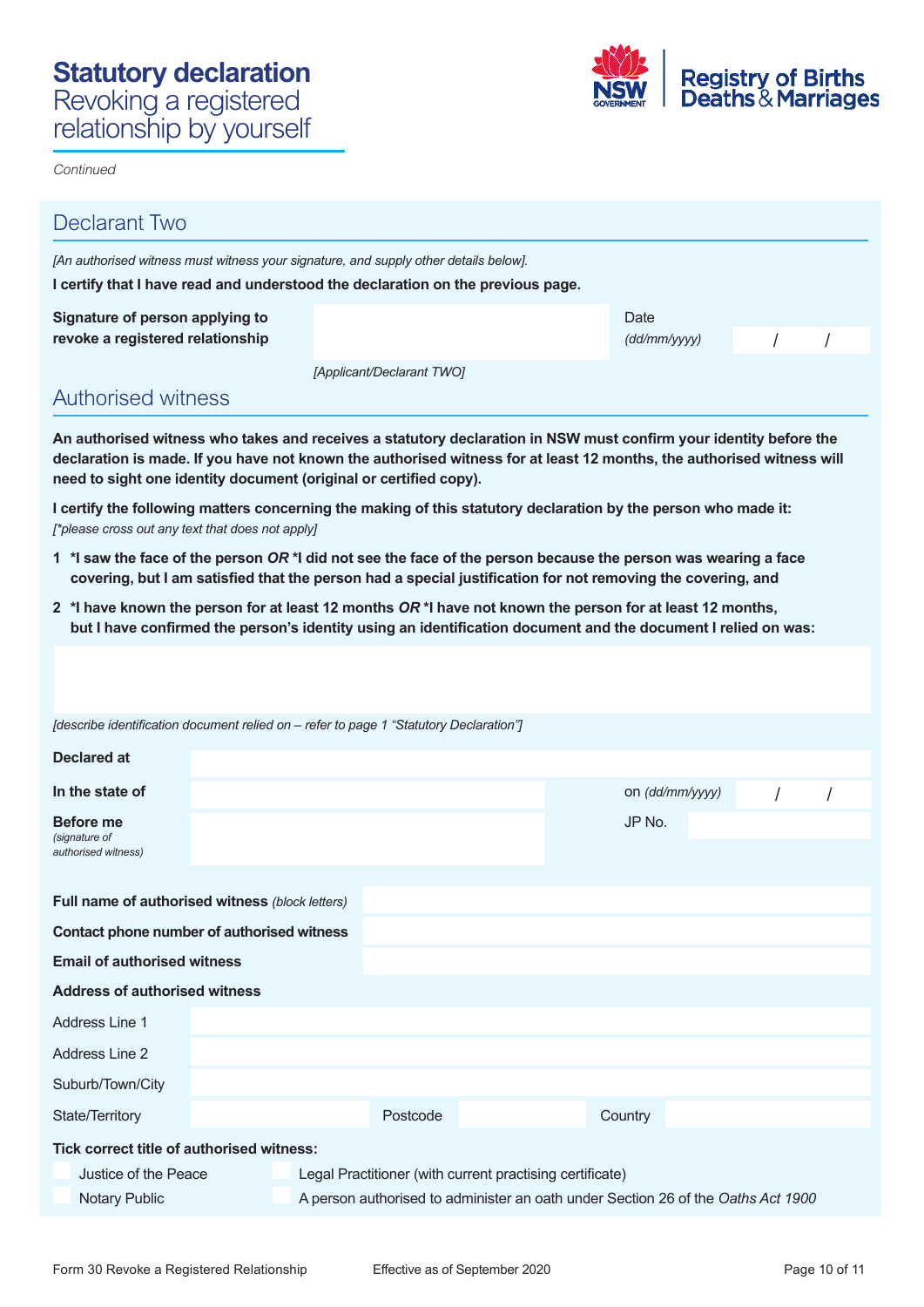

**Continued** 

| <b>Declarant Two</b>                                                                                                                                                                                                                                                                                            |                                                                                                                                              |  |                 |          |  |  |  |
|-----------------------------------------------------------------------------------------------------------------------------------------------------------------------------------------------------------------------------------------------------------------------------------------------------------------|----------------------------------------------------------------------------------------------------------------------------------------------|--|-----------------|----------|--|--|--|
| [An authorised witness must witness your signature, and supply other details below].                                                                                                                                                                                                                            |                                                                                                                                              |  |                 |          |  |  |  |
| I certify that I have read and understood the declaration on the previous page.                                                                                                                                                                                                                                 |                                                                                                                                              |  |                 |          |  |  |  |
| Signature of person applying to<br>revoke a registered relationship                                                                                                                                                                                                                                             | Date<br>(dd/mm/yyy)                                                                                                                          |  |                 |          |  |  |  |
|                                                                                                                                                                                                                                                                                                                 | [Applicant/Declarant TWO]                                                                                                                    |  |                 |          |  |  |  |
| <b>Authorised witness</b>                                                                                                                                                                                                                                                                                       |                                                                                                                                              |  |                 |          |  |  |  |
| An authorised witness who takes and receives a statutory declaration in NSW must confirm your identity before the<br>declaration is made. If you have not known the authorised witness for at least 12 months, the authorised witness will<br>need to sight one identity document (original or certified copy). |                                                                                                                                              |  |                 |          |  |  |  |
| I certify the following matters concerning the making of this statutory declaration by the person who made it:<br>[*please cross out any text that does not apply]                                                                                                                                              |                                                                                                                                              |  |                 |          |  |  |  |
| 1 *I saw the face of the person OR *I did not see the face of the person because the person was wearing a face<br>covering, but I am satisfied that the person had a special justification for not removing the covering, and                                                                                   |                                                                                                                                              |  |                 |          |  |  |  |
| 2 *I have known the person for at least 12 months OR *I have not known the person for at least 12 months,<br>but I have confirmed the person's identity using an identification document and the document I relied on was:                                                                                      |                                                                                                                                              |  |                 |          |  |  |  |
|                                                                                                                                                                                                                                                                                                                 |                                                                                                                                              |  |                 |          |  |  |  |
| [describe identification document relied on – refer to page 1 "Statutory Declaration"]                                                                                                                                                                                                                          |                                                                                                                                              |  |                 |          |  |  |  |
| Declared at                                                                                                                                                                                                                                                                                                     |                                                                                                                                              |  |                 |          |  |  |  |
| In the state of                                                                                                                                                                                                                                                                                                 |                                                                                                                                              |  | on (dd/mm/yyyy) | $\prime$ |  |  |  |
| <b>Before me</b><br>(signature of<br>authorised witness)                                                                                                                                                                                                                                                        |                                                                                                                                              |  | JP No.          |          |  |  |  |
| Full name of authorised witness (block letters)                                                                                                                                                                                                                                                                 |                                                                                                                                              |  |                 |          |  |  |  |
| Contact phone number of authorised witness                                                                                                                                                                                                                                                                      |                                                                                                                                              |  |                 |          |  |  |  |
| <b>Email of authorised witness</b>                                                                                                                                                                                                                                                                              |                                                                                                                                              |  |                 |          |  |  |  |
| <b>Address of authorised witness</b>                                                                                                                                                                                                                                                                            |                                                                                                                                              |  |                 |          |  |  |  |
| Address Line 1                                                                                                                                                                                                                                                                                                  |                                                                                                                                              |  |                 |          |  |  |  |
| Address Line 2                                                                                                                                                                                                                                                                                                  |                                                                                                                                              |  |                 |          |  |  |  |
| Suburb/Town/City                                                                                                                                                                                                                                                                                                |                                                                                                                                              |  |                 |          |  |  |  |
| State/Territory                                                                                                                                                                                                                                                                                                 | Postcode                                                                                                                                     |  | Country         |          |  |  |  |
| Tick correct title of authorised witness:                                                                                                                                                                                                                                                                       |                                                                                                                                              |  |                 |          |  |  |  |
| Justice of the Peace<br><b>Notary Public</b>                                                                                                                                                                                                                                                                    | Legal Practitioner (with current practising certificate)<br>A person authorised to administer an oath under Section 26 of the Oaths Act 1900 |  |                 |          |  |  |  |